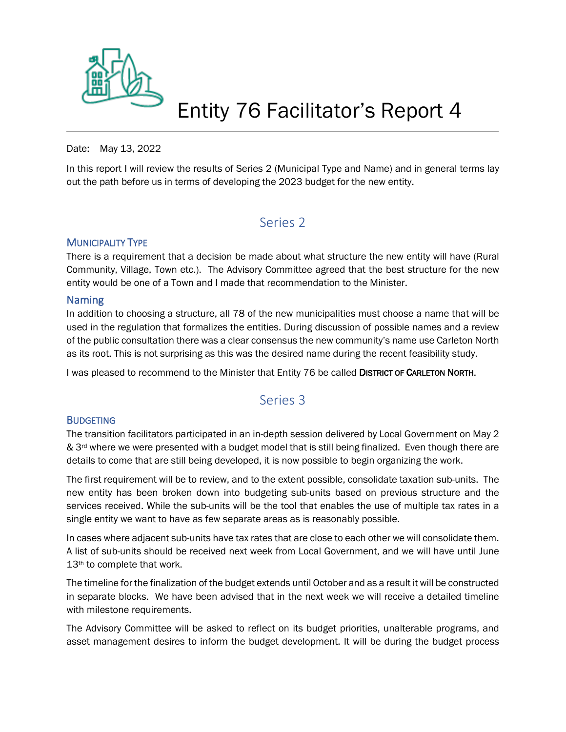

## Entity 76 Facilitator's Report 4

#### Date: May 13, 2022

In this report I will review the results of Series 2 (Municipal Type and Name) and in general terms lay out the path before us in terms of developing the 2023 budget for the new entity.

### Series 2

#### MUNICIPALITY TYPE

There is a requirement that a decision be made about what structure the new entity will have (Rural Community, Village, Town etc.). The Advisory Committee agreed that the best structure for the new entity would be one of a Town and I made that recommendation to the Minister.

#### Naming

In addition to choosing a structure, all 78 of the new municipalities must choose a name that will be used in the regulation that formalizes the entities. During discussion of possible names and a review of the public consultation there was a clear consensus the new community's name use Carleton North as its root. This is not surprising as this was the desired name during the recent feasibility study.

I was pleased to recommend to the Minister that Entity 76 be called DISTRICT OF CARLETON NORTH.

## Series 3

#### **BUDGETING**

The transition facilitators participated in an in-depth session delivered by Local Government on May 2 & 3<sup>rd</sup> where we were presented with a budget model that is still being finalized. Even though there are details to come that are still being developed, it is now possible to begin organizing the work.

The first requirement will be to review, and to the extent possible, consolidate taxation sub-units. The new entity has been broken down into budgeting sub-units based on previous structure and the services received. While the sub-units will be the tool that enables the use of multiple tax rates in a single entity we want to have as few separate areas as is reasonably possible.

In cases where adjacent sub-units have tax rates that are close to each other we will consolidate them. A list of sub-units should be received next week from Local Government, and we will have until June 13<sup>th</sup> to complete that work.

The timeline for the finalization of the budget extends until October and as a result it will be constructed in separate blocks. We have been advised that in the next week we will receive a detailed timeline with milestone requirements.

The Advisory Committee will be asked to reflect on its budget priorities, unalterable programs, and asset management desires to inform the budget development. It will be during the budget process